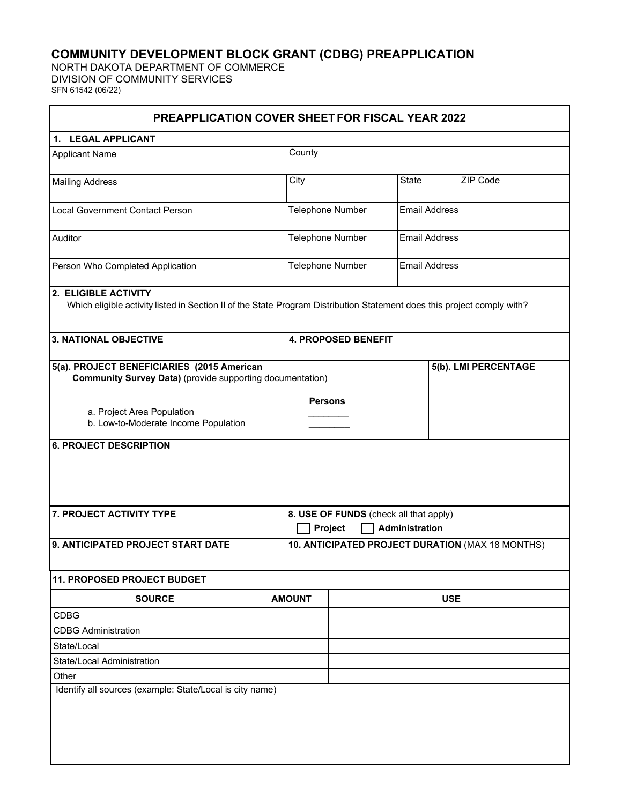## **COMMUNITY DEVELOPMENT BLOCK GRANT (CDBG) PREAPPLICATION**

NORTH DAKOTA DEPARTMENT OF COMMERCE DIVISION OF COMMUNITY SERVICES SFN 61542 (06/22)

| <b>PREAPPLICATION COVER SHEET FOR FISCAL YEAR 2022</b>                                                                                                                          |                |                                                                     |                            |                      |                      |                      |
|---------------------------------------------------------------------------------------------------------------------------------------------------------------------------------|----------------|---------------------------------------------------------------------|----------------------------|----------------------|----------------------|----------------------|
| 1. LEGAL APPLICANT                                                                                                                                                              |                |                                                                     |                            |                      |                      |                      |
| <b>Applicant Name</b>                                                                                                                                                           |                | County                                                              |                            |                      |                      |                      |
| <b>Mailing Address</b>                                                                                                                                                          |                | City                                                                |                            | State                |                      | ZIP Code             |
| <b>Local Government Contact Person</b>                                                                                                                                          |                |                                                                     | Telephone Number           |                      | <b>Email Address</b> |                      |
| Auditor                                                                                                                                                                         |                |                                                                     | Telephone Number           | <b>Email Address</b> |                      |                      |
| Person Who Completed Application                                                                                                                                                |                | Telephone Number<br><b>Email Address</b>                            |                            |                      |                      |                      |
| 2. ELIGIBLE ACTIVITY<br>Which eligible activity listed in Section II of the State Program Distribution Statement does this project comply with?<br><b>3. NATIONAL OBJECTIVE</b> |                |                                                                     | <b>4. PROPOSED BENEFIT</b> |                      |                      |                      |
| 5(a). PROJECT BENEFICIARIES (2015 American<br><b>Community Survey Data)</b> (provide supporting documentation)                                                                  |                |                                                                     |                            |                      |                      | 5(b). LMI PERCENTAGE |
| a. Project Area Population<br>b. Low-to-Moderate Income Population                                                                                                              | <b>Persons</b> |                                                                     |                            |                      |                      |                      |
| <b>6. PROJECT DESCRIPTION</b>                                                                                                                                                   |                |                                                                     |                            |                      |                      |                      |
| 7. PROJECT ACTIVITY TYPE                                                                                                                                                        |                | 8. USE OF FUNDS (check all that apply)<br>Project<br>Administration |                            |                      |                      |                      |
| 9. ANTICIPATED PROJECT START DATE                                                                                                                                               |                | 10. ANTICIPATED PROJECT DURATION (MAX 18 MONTHS)                    |                            |                      |                      |                      |
| <b>11. PROPOSED PROJECT BUDGET</b>                                                                                                                                              |                |                                                                     |                            |                      |                      |                      |
| <b>SOURCE</b>                                                                                                                                                                   |                | <b>AMOUNT</b>                                                       |                            |                      | <b>USE</b>           |                      |
| CDBG                                                                                                                                                                            |                |                                                                     |                            |                      |                      |                      |
| <b>CDBG Administration</b>                                                                                                                                                      |                |                                                                     |                            |                      |                      |                      |
| State/Local                                                                                                                                                                     |                |                                                                     |                            |                      |                      |                      |
| State/Local Administration                                                                                                                                                      |                |                                                                     |                            |                      |                      |                      |
| Other                                                                                                                                                                           |                |                                                                     |                            |                      |                      |                      |
| Identify all sources (example: State/Local is city name)                                                                                                                        |                |                                                                     |                            |                      |                      |                      |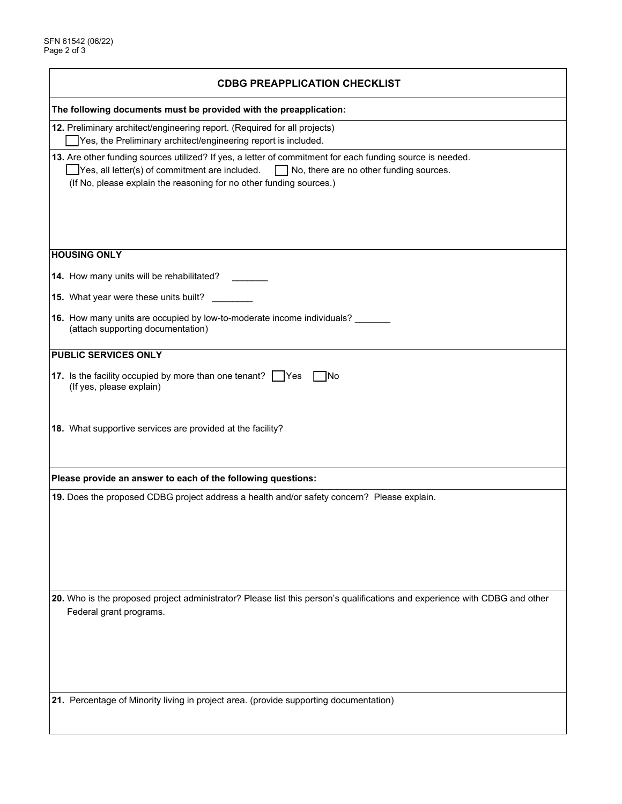| <b>CDBG PREAPPLICATION CHECKLIST</b>                                                                                                                                                                                                                                                 |  |  |  |  |
|--------------------------------------------------------------------------------------------------------------------------------------------------------------------------------------------------------------------------------------------------------------------------------------|--|--|--|--|
| The following documents must be provided with the preapplication:                                                                                                                                                                                                                    |  |  |  |  |
| 12. Preliminary architect/engineering report. (Required for all projects)<br>Yes, the Preliminary architect/engineering report is included.                                                                                                                                          |  |  |  |  |
| 13. Are other funding sources utilized? If yes, a letter of commitment for each funding source is needed.<br>Yes, all letter(s) of commitment are included.<br>$\Box$ No, there are no other funding sources.<br>(If No, please explain the reasoning for no other funding sources.) |  |  |  |  |
| <b>HOUSING ONLY</b>                                                                                                                                                                                                                                                                  |  |  |  |  |
| 14. How many units will be rehabilitated?                                                                                                                                                                                                                                            |  |  |  |  |
| 15. What year were these units built?                                                                                                                                                                                                                                                |  |  |  |  |
| 16. How many units are occupied by low-to-moderate income individuals?<br>(attach supporting documentation)                                                                                                                                                                          |  |  |  |  |
| PUBLIC SERVICES ONLY                                                                                                                                                                                                                                                                 |  |  |  |  |
| 17. Is the facility occupied by more than one tenant? Yes<br>- INo<br>(If yes, please explain)                                                                                                                                                                                       |  |  |  |  |
| 18. What supportive services are provided at the facility?                                                                                                                                                                                                                           |  |  |  |  |
| Please provide an answer to each of the following questions:                                                                                                                                                                                                                         |  |  |  |  |
| 19. Does the proposed CDBG project address a health and/or safety concern? Please explain.                                                                                                                                                                                           |  |  |  |  |
|                                                                                                                                                                                                                                                                                      |  |  |  |  |
| 20. Who is the proposed project administrator? Please list this person's qualifications and experience with CDBG and other<br>Federal grant programs.                                                                                                                                |  |  |  |  |
| 21. Percentage of Minority living in project area. (provide supporting documentation)                                                                                                                                                                                                |  |  |  |  |